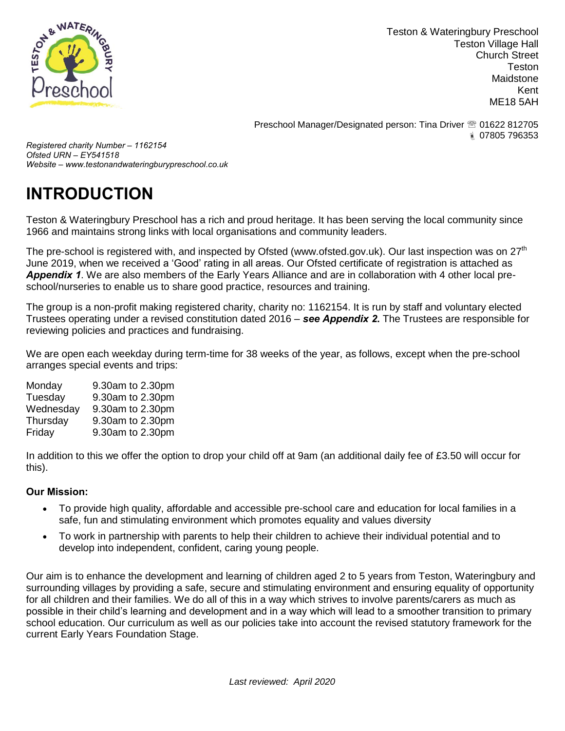

Teston & Wateringbury Preschool Teston Village Hall Church Street Teston Maidstone Kent ME18 5AH

Preschool Manager/Designated person: Tina Driver **<b>8** 01622 812705 07805 796353

*Registered charity Number – 1162154 Ofsted URN – EY541518 Website – www.testonandwateringburypreschool.co.uk*

## **INTRODUCTION**

Teston & Wateringbury Preschool has a rich and proud heritage. It has been serving the local community since 1966 and maintains strong links with local organisations and community leaders.

The pre-school is registered with, and inspected by Ofsted (www.ofsted.gov.uk). Our last inspection was on 27<sup>th</sup> June 2019, when we received a 'Good' rating in all areas. Our Ofsted certificate of registration is attached as *Appendix 1*. We are also members of the Early Years Alliance and are in collaboration with 4 other local preschool/nurseries to enable us to share good practice, resources and training.

The group is a non-profit making registered charity, charity no: 1162154. It is run by staff and voluntary elected Trustees operating under a revised constitution dated 2016 – *see Appendix 2***.** The Trustees are responsible for reviewing policies and practices and fundraising.

We are open each weekday during term-time for 38 weeks of the year, as follows, except when the pre-school arranges special events and trips:

Monday 9.30am to 2.30pm Tuesday 9.30am to 2.30pm Wednesday 9.30am to 2.30pm Thursday 9.30am to 2.30pm Friday 9.30am to 2.30pm

In addition to this we offer the option to drop your child off at 9am (an additional daily fee of £3.50 will occur for this).

## **Our Mission:**

- To provide high quality, affordable and accessible pre-school care and education for local families in a safe, fun and stimulating environment which promotes equality and values diversity
- To work in partnership with parents to help their children to achieve their individual potential and to develop into independent, confident, caring young people.

Our aim is to enhance the development and learning of children aged 2 to 5 years from Teston, Wateringbury and surrounding villages by providing a safe, secure and stimulating environment and ensuring equality of opportunity for all children and their families. We do all of this in a way which strives to involve parents/carers as much as possible in their child's learning and development and in a way which will lead to a smoother transition to primary school education. Our curriculum as well as our policies take into account the revised statutory framework for the current Early Years Foundation Stage.